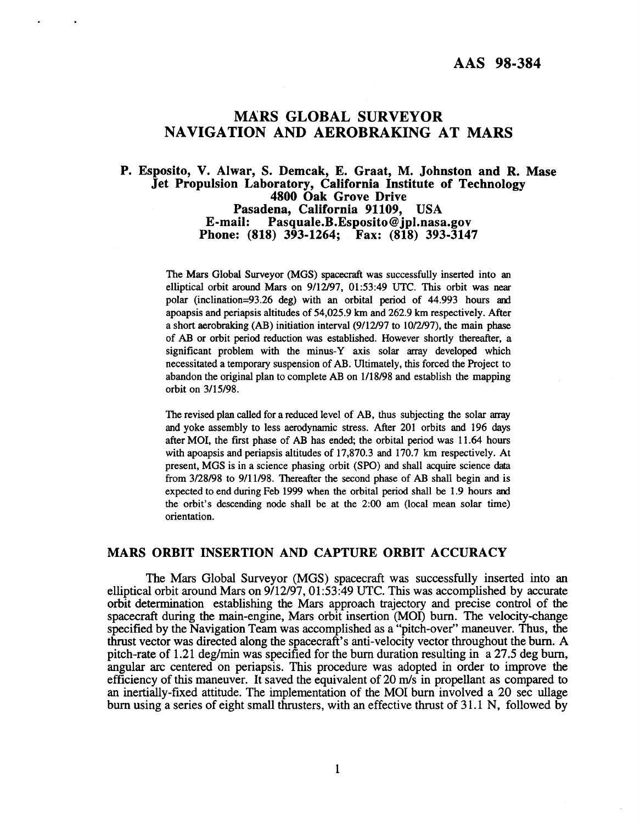# <span id="page-0-0"></span>**MARS GLOBAL SURVEYOR NAVIGATION AND AEROBRAKING AT MARS**

# **P. Esposito, V. Alwar, S. Demcak, E. Graat, M. Johnston and R. Mase Jet Propulsion Laboratory, California Institute of Technology 4800 Oak Grove Drive Pasadena, California 91109, USA E-mail: [Pasquale.B.Esposito@jpl.nasa.gov](mailto:Pasquale.B.Esposito@jpl.nasa.gov) Phone: (818) 393-1264; Fax: (818) 393-3147**

The Mars Global Surveyor (MGS) spacecraft was successfully inserted into an elliptical orbit around Mars on 9/12/97, 01:53:49 UTC. This orbit **was** near polar (inclination=93.26 deg) with an orbital period of 44.993 hours and apoapsis and periapsis altitudes **of** 54,025.9 **km** and 262.9 **km** respectively. After a short aerobraking (AB) initiation interval (9/12/97 to 10/2/97), the main phase of AB or orbit period reduction was established. However shortly thereafter, a significant problem with the minus-Y axis solar array developed which necessitated **a** temporary suspension of AB. Ultimately, this forced the Project to abandon the original plan to complete AB on 1/18/98 and establish the mapping orbit on 3/15/98.

The revised plan called for a reduced level of AB, thus subjecting the solar array and yoke assembly to less aerodynamic stress. After 201 orbits and 196 days after MOI, the first phase of AB has ended, the orbital period was 11.64 hours with apoapsis and periapsis altitudes of 17,870.3 and 170.7 km respectively. At present, MGS is in a science phasing orbit **(SPO)** and shall acquire science data from 3/28/98 to 9/11/98. Thereafter the second phase of AB shall begin and is expected to end during Feb 1999 when the orbital period shall be 1.9 hours and the orbit's descending node shall be at the 2:OO am (local mean solar time) orientation.

# **MARS ORBIT INSERTION AND CAPTURE ORBIT ACCURACY**

The Mars Global Surveyor (MGS) spacecraft was successfully inserted into an elliptical orbit around Mars on 9/12/97,01:53:49 **UTC.** This was accomplished by accurate orbit determination establishing the Mars approach trajectory and precise control of the spacecraft during the main-engine, Mars orbit insertion (MOI) burn. The velocity-change specified by the Navigation Team was accomplished as a "pitch-over" maneuver. Thus, the thrust vector was directed along the spacecraft's anti-velocity vector throughout the bum. **A**  pitch-rate **of** 1.21 deg/min was specified for the burn duration resulting in a 27.5 deg burn, angular arc centered on periapsis. This procedure was adopted in order to improve the efficiency of this maneuver. It saved the equivalent of 20 m/s in propellant as compared to an inertially-fixed attitude. The implementation of the MOI bum involved a 20 sec ullage burn using a series of eight small thrusters, with an effective thrust of 3 1.1 N, followed by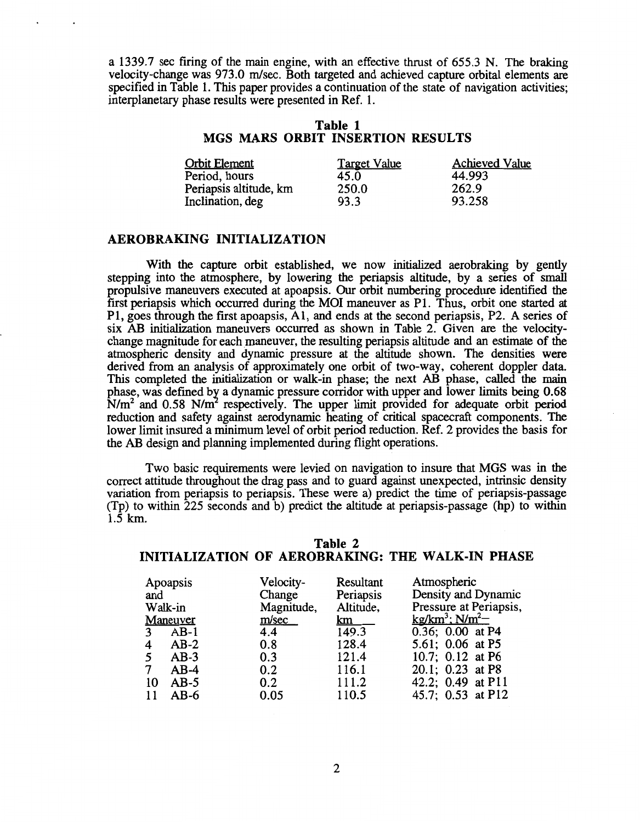a 1339.7 sec firing of the main engine, with an effective thrust of 655.3 N. The braking velocity-change was 973.0 m/sec. Both targeted and achieved capture orbital elements are specified in Table 1. This paper provides a continuation of the state of navigation activities; interplanetary phase results were presented in Ref. 1.

### **Table 1 MGS MARS ORBIT INSERTION RESULTS**

| <b>Orbit Element</b>   | <b>Target Value</b> | <b>Achieved Value</b> |
|------------------------|---------------------|-----------------------|
| Period, hours          | 45.0                | 44.993                |
| Periapsis altitude, km | 250.0               | 262.9                 |
| Inclination, deg       | 93.3                | 93.258                |

# **AEROBRAKING INITIALIZATION**

With the capture orbit established, we now initialized aerobraking by gently stepping into the atmosphere, by lowering the periapsis altitude, by a series of small propulsive maneuvers executed at apoapsis. *Our* orbit numbering procedure identified the first periapsis which occurred during the MOI maneuver as P1. Thus, orbit one started at P1, goes through the first apoapsis, Al, and ends at the second periapsis, P2. A series of six AB initialization maneuvers occurred as shown in Table 2. Given are the velocitychange magnitude for each maneuver, the resulting periapsis altitude and an estimate of the atmospheric density and dynamic pressure at the altitude shown. The densities were derived from an analysis **of** approximately one orbit of two-way, coherent doppler data. This completed the initialization or walk-in phase; the next AB phase, called the **main**  phase, was defined by a dynamic pressure corridor with upper and lower limits being 0.68  $N/m<sup>2</sup>$  and 0.58 N/m<sup>2</sup> respectively. The upper limit provided for adequate orbit period reduction and safety against aerodynamic heating of critical spacecraft components. The lower limit insured a minimum level of orbit period reduction. Ref. 2 provides the basis for the AB design and planning implemented during flight operations.

Two basic requirements were levied on navigation to insure that MGS was in the correct attitude throughout the drag pass and to guard against unexpected, intrinsic density variation from periapsis to periapsis. These were a) predict the time of periapsis-passage (Tp) to within 225 seconds and b) predict the altitude at periapsis-passage (hp) to within 1.5 km.

| Apoapsis<br>and<br>Walk-in<br>Maneuver<br>$AB-1$<br>3<br>$AB-2$<br>4<br>$AB-3$<br>$AB-4$<br>$AB-5$<br>10 | Velocity-<br>Change<br>Magnitude,<br>m/sec<br>4.4<br>0.8<br>0.3<br>0.2<br>0.2 | Resultant<br>Periapsis<br>Altitude,<br>km<br>149.3<br>128.4<br>121.4<br>116.1<br>111.2 | Atmospheric<br>Density and Dynamic<br>Pressure at Periapsis,<br>kg/km <sup>3</sup> ; $N/m^2$ –<br>0.36; 0.00 at P4<br>5.61; 0.06 at P5<br>10.7; 0.12 at P6<br>20.1; 0.23 at P8 |
|----------------------------------------------------------------------------------------------------------|-------------------------------------------------------------------------------|----------------------------------------------------------------------------------------|--------------------------------------------------------------------------------------------------------------------------------------------------------------------------------|
| $AB-6$<br>11                                                                                             | 0.05                                                                          | 110.5                                                                                  | 42.2; 0.49 at P11<br>45.7; 0.53 at P12                                                                                                                                         |

### **Table 2 INITIALIZATION OF AEROBRAKING: THE WALK-IN PHASE**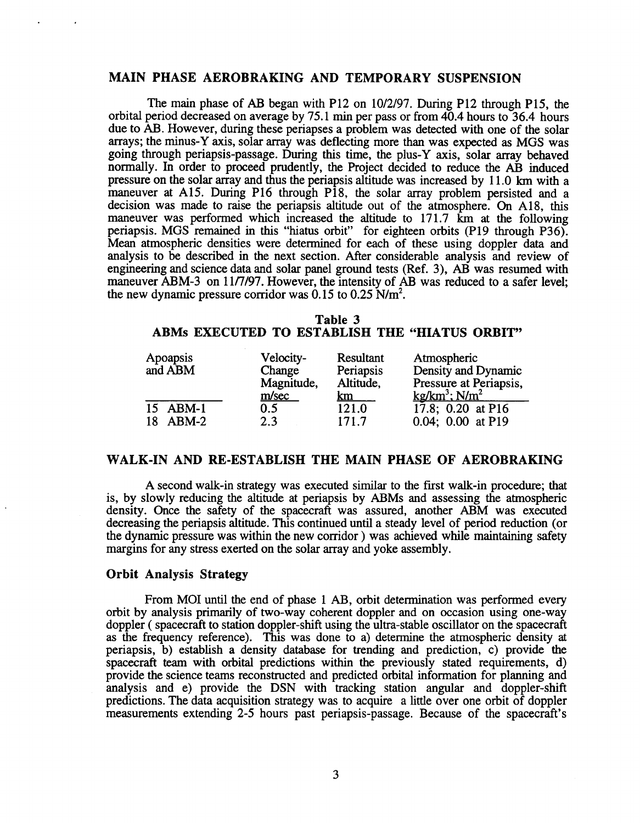# **MAIN PHASE AEROBRAKING AND TEMPORARY SUSPENSION**

The main phase of AB began with P12 on 10/2/97. During P12 through P15, the orbital period decreased on average by 75.1 min per pass or from 40.4 hours to 36.4 hours due to AB. However, during these periapses a problem was detected with one of the solar arrays; the minus-Y axis, solar array was deflecting more than was expected as MGS was going through periapsis-passage. During this time, the plus-Y axis, solar array behaved normally. In order to proceed prudently, the Project decided to reduce the AB induced pressure on the solar array and thus the periapsis altitude was increased by 1 1.0 km with a maneuver at A15. During P16 through P18, the solar array problem persisted and a decision was made to raise the periapsis altitude out of the atmosphere. *On* A18, this maneuver was performed which increased the altitude to 171.7 km at the following periapsis. MGS remained in this "hiatus orbit" for eighteen orbits (P19 through P36). Mean atmospheric densities were determined for each of these using doppler data and analysis to be described in the next section. After considerable analysis and review of engineering and science data and solar panel ground tests (Ref. 3), AB was resumed with maneuver ABM-3 on 11/7/97. However, the intensity of AB was reduced to a safer level: the new dynamic pressure corridor was  $0.15$  to  $0.25$  N/m<sup>2</sup>.

# **Table 3 ABMs EXECUTED TO ESTABLISH THE "HIATUS ORBIT"**

| Apoapsis<br>and ABM | Velocity-<br>Change<br>Magnitude,<br>m/sec | Resultant<br>Periapsis<br>Altitude,<br><u>km</u> | Atmospheric<br>Density and Dynamic<br>Pressure at Periapsis,<br>$kg/km^3$ ; $N/m^2$ |
|---------------------|--------------------------------------------|--------------------------------------------------|-------------------------------------------------------------------------------------|
| 15 ABM-1            | 0.5                                        | 121.0                                            | 17.8; $0.20$ at P16                                                                 |
| 18 ABM-2            | 2.3                                        | 171.7                                            | $0.04; 0.00$ at P19                                                                 |

# **WALK-IN AND RE-ESTABLISH THE MAIN PHASE OF AEROBRAKING**

A second walk-in strategy was executed similar to the first walk-in procedure; that is, by slowly reducing the altitude at periapsis by ABMs and assessing the atmospheric density. Once the safety of the spacecraft was assured, another ABM was executed decreasing the periapsis altitude. This continued until a steady level of period reduction (or the dynamic pressure was within the new corridor ) was achieved while maintaining safety margins for any stress exerted on the solar array and yoke assembly.

### **Orbit Analysis Strategy**

From MOI until the end of phase 1 AB, orbit determination was performed every orbit by analysis primarily of two-way coherent doppler and on occasion using one-way doppler ( spacecraft to station doppler-shift using the ultra-stable oscillator on the spacecraft as the frequency reference). This was done to a) determine the atmospheric density at periapsis, b) establish a density database for trending and prediction, c) provide the spacecraft *team* with orbital predictions within the previously stated requirements, d) provide the science teams reconstructed and predicted orbital information for planning and analysis and e) provide the DSN with tracking station angular and doppler-shift predictions. The data acquisition strategy was to acquire a little over one orbit of doppler measurements extending 2-5 hours past periapsis-passage. Because of the spacecraft's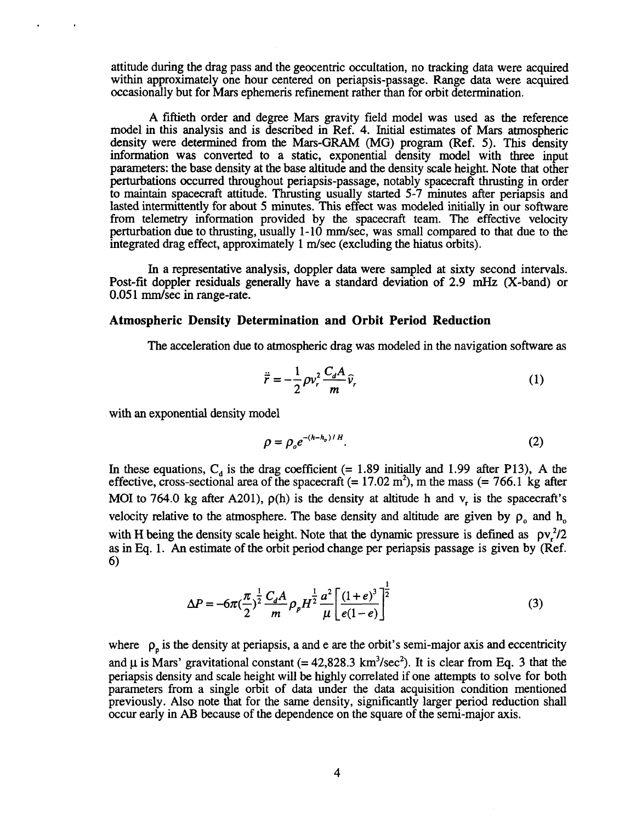attitude during the drag pass and the geocentric occultation, no tracking data were acquired within approximately one hour centered on periapsis-passage. Range data were acquired occasionally but for Mars ephemeris refinement rather than for orbit determination.

A fiftieth order and degree Mars gravity field model was used as the reference model in this analysis and is described in Ref. **4.** Initial estimates of Mars atmospheric density were determined from the Mars-GRAM (MG) program (Ref. **5).** This density information **was** converted to a static, exponential density model with three input parameters: the base density at the base altitude and the density scale height. Note that other perturbations occurred throughout periapsis-passage, notably spacecraft thrusting in order to maintain spacecraft attitude. Thrusting usually started 5-7 minutes after periapsis and lasted intermittently for about **5** minutes. This effect was modeled initially in our software from telemetry information provided by the spacecraft eam. The effective velocity perturbation due to thrusting, usually 1-10 mm/sec, was small compared to that due to the integrated drag effect, approximately 1 m/sec (excluding the hiatus orbits).

In a representative analysis, doppler data were sampled at sixty second intervals. Post-fit doppler residuals generally have a standard deviation of 2.9 **mHz** (X-band) or 0.051 mm/sec in range-rate.

#### **Atmospheric Density Determination and Orbit Period Reduction**

The acceleration due to atmospheric drag was modeled in the navigation software as

atmospheric drag was modeled in the navigation software  
\n
$$
\ddot{\vec{r}} = -\frac{1}{2}\rho v_r^2 \frac{C_d A}{m} \hat{v}_r
$$
\n(1)

with an exponential density model

$$
\rho = \rho_o e^{-(h-h_o)/H}.\tag{2}
$$

In these equations,  $C_d$  is the drag coefficient (= 1.89 initially and 1.99 after P13), A the effective, cross-sectional area of the spacecraft  $(= 17.02 \text{ m}^2)$ , m the mass  $(= 766.1 \text{ kg after})$ MOI to 764.0 kg after A201),  $\rho(h)$  is the density at altitude h and v, is the spacecraft's velocity relative to the atmosphere. The base density and altitude are given by  $\rho_0$  and  $h_0$ with **H** being the density scale height. Note that the dynamic pressure is defined as  $pv^2/2$ as in Eq. 1. **An** estimate of the orbit period change per periapsis passage isgiven by (Ref. *6)* 

$$
\Delta P = -6\pi \left(\frac{\pi}{2}\right)^{\frac{1}{2}} \frac{C_d A}{m} \rho_p H^{\frac{1}{2}} \frac{a^2}{\mu} \left[ \frac{(1+e)^3}{e(1-e)} \right]^{\frac{1}{2}}
$$
(3)

where  $\rho_n$  is the density at periapsis, a and e are the orbit's semi-major axis and eccentricity and  $\mu$  is Mars' gravitational constant (= 42,828.3 km<sup>3</sup>/sec<sup>2</sup>). It is clear from Eq. 3 that the periapsis density and scale height will be highly correlated if one attempts to solve for both parameters from a single orbit of data under the data acquisition condition mentioned previously. Also note that for the same density, significantly larger period reduction shall occur early in AB because of the dependence on the square of the semi-major axis.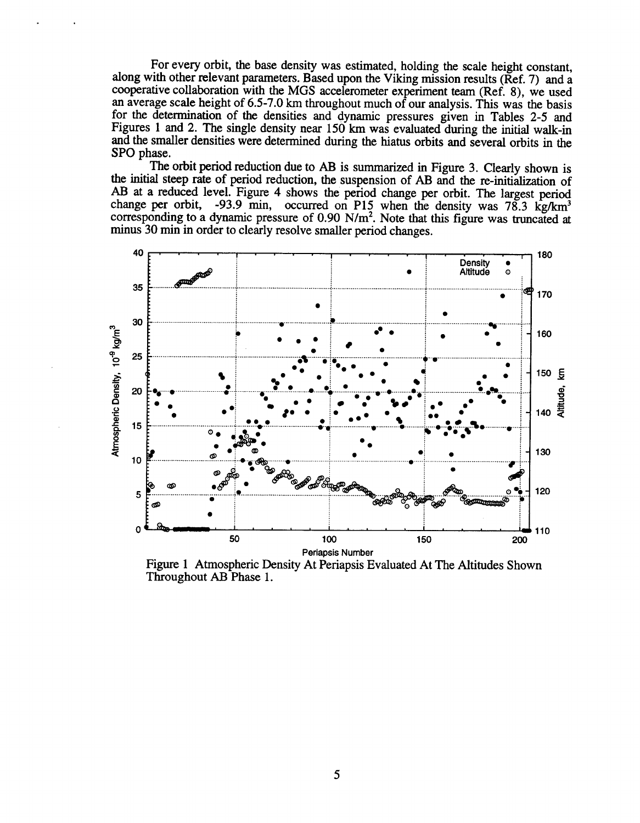For every orbit, the base density was estimated, holding the scale height constant, along with other relevant parameters. Based upon the Viking mission results (Ref. **7)** and a cooperative collaboration with the **MGS** accelerometer experiment team (Ref. **8),** we used an average scale height **of 6.5-7.0** km throughout much of our analysis. This was the basis for the determination of the densities and dynamic pressures given in Tables **2-5** and Figures 1 and **2.** The single density near **150 km** was evaluated during the initial walk-in and the smaller densities were determined during the hiatus orbits and several orbits in the SPO phase.

The **orbit** period reduction due to AB is summarized in [Figure](#page-5-0) **3.** Clearly shown is the initial steep rate of period reduction, the suspension of AB and the re-initialization **of**  AB at a reduced level. Figure 4 shows the period change per orbit. The largest period change per orbit, **-93.9** min, occurred on P15 when the density was **78.3 kg/km3**  corresponding to a dynamic pressure of **0.90** N/m2. Note that this figure was truncated at minus **30** min in order to clearly resolve smaller period changes.



Figure 1 Atmospheric Density At Periapsis Evaluated At The Altitudes Shown Throughout AB Phase 1.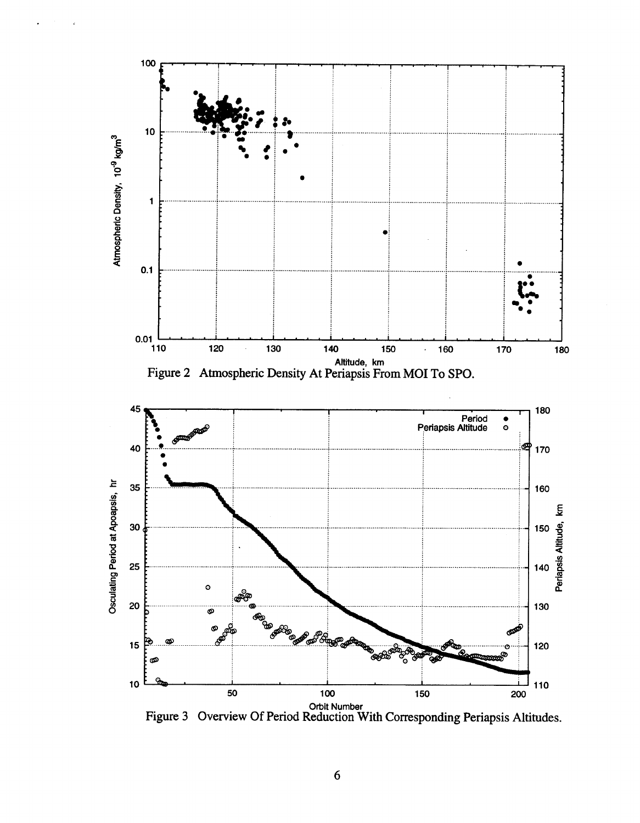<span id="page-5-0"></span>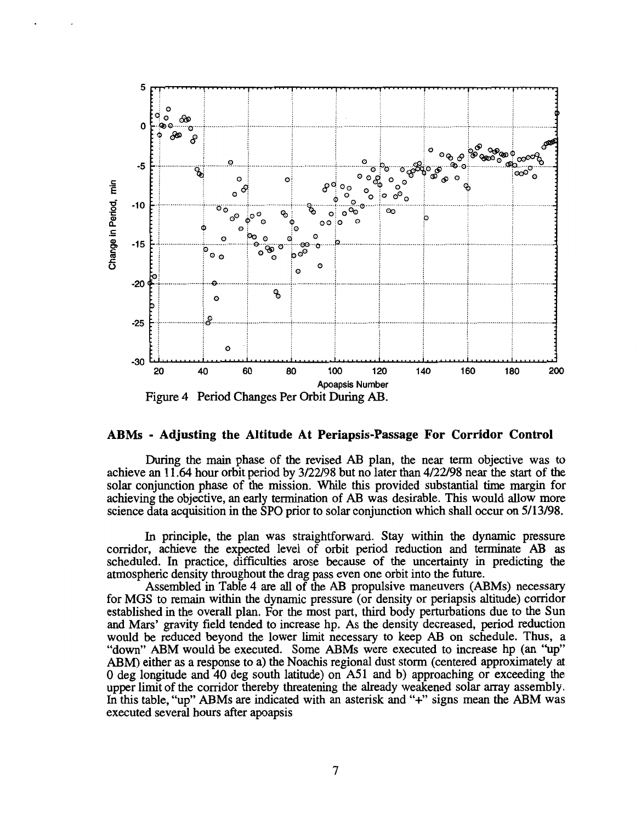

#### **ABMs** - **Adjusting the Altitude At Periapsis-Passage For Corridor Control**

During the main phase of the revised AB plan, the near term objective was to achieve an **1 1.64** hour orbit period by **3/22/98** but no later than **4/22/98** near the start of the solar conjunction phase **of** the mission. While this provided substantial time margin for achieving the objective, an early termination **of** AB was desirable. This would allow more science data acquisition in the **SPO** prior to solar conjunction which shall occur on **5/13/98.** 

In principle, the plan was straightforward. Stay within the dynamic pressure corridor, achieve the expected level of orbit period reduction and terminate AB as scheduled. In practice, difficulties arose because of the uncertainty in predicting the atmospheric density throughout the drag pass even one orbit into the future.

Assembled in Table **4** are all of the AB propulsive maneuvers (ABMs) necessary for MGS to remain within the dynamic pressure (or density or periapsis altitude) corridor established in the overall plan. For the most part, third body perturbations due to the Sun and Mars' gravity field tended to increase hp. As the density decreased, period reduction would be reduced beyond the lower limit necessary to keep AB on schedule. Thus, a "down" ABM would be executed. Some ABMs were executed to increase hp (an "up" ABM) either as a response to a) the Noachis regional dust storm (centered approximately at *0* deg longitude and **40** deg south latitude) on A51 and b) approaching or exceeding the upper limit of the corridor thereby threatening the already weakened solar array assembly. In this table, "up" ABMs are indicated with an asterisk and "+" signs mean the ABM was executed several hours after apoapsis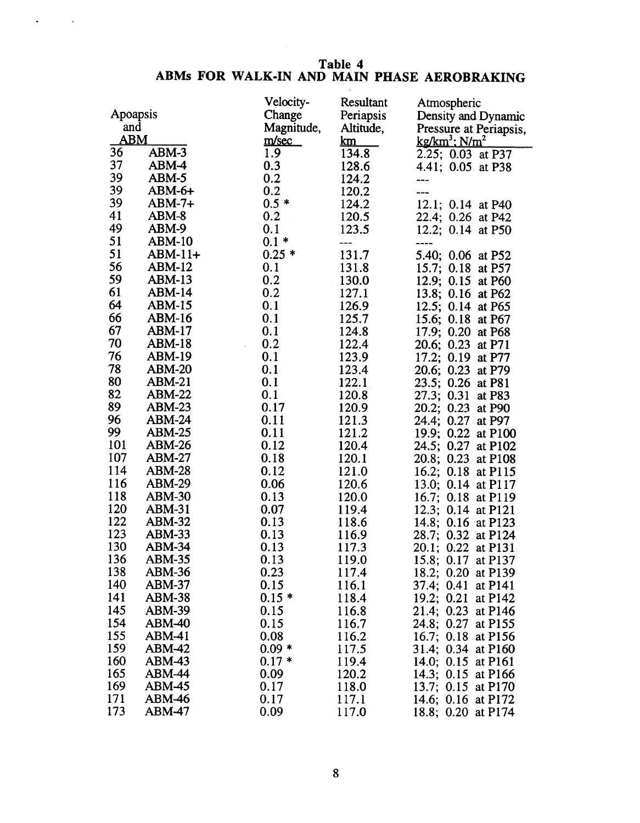# **Table 4 ABMs FOR WALK-IN AND MAIN PHASE AEROBRAKING**

 $\mathcal{L} = \{ \mathcal{L} \}$  .

|                         |               | Velocity-  | Resultant      | Atmospheric                              |
|-------------------------|---------------|------------|----------------|------------------------------------------|
| Apoapsis                |               | Change     | Periapsis      | Density and Dynamic                      |
| and                     |               | Magnitude, | Altitude,      | Pressure at Periapsis,                   |
| ${\bf A}{\bf B}{\bf M}$ |               | m/sec      | <u>km</u>      | $kg/km^3$ ; $N/m^2$                      |
| 36                      | ABM-3         | 1.9        | 134.8          | 2.25; 0.03 at P37                        |
| 37                      | ABM-4         | 0.3        | 128.6          | 4.41; 0.05 at P38                        |
| 39                      | ABM-5         | 0.2        | 124.2          |                                          |
| 39                      | $ABM-6+$      | 0.2        | 120.2          |                                          |
| 39                      | $ABM-7+$      | $0.5*$     | 124.2          | 12.1; 0.14 at P40                        |
| 41                      | ABM-8         | 0.2        | 120.5          | 22.4; 0.26 at P42                        |
| 49                      | ABM-9         | 0.1        | 123.5          | 12.2; 0.14 at P50                        |
| 51                      | <b>ABM-10</b> | $0.1*$     | ---            |                                          |
| 51                      | ABM-11+       | $0.25*$    | 131.7          | 5.40; 0.06 at P52                        |
| 56                      | ABM-12        | 0.1        | 131.8          | 15.7; 0.18 at P57                        |
| 59                      | $ABM-13$      | 0.2        | 130.0          | 12.9; 0.15 at P60                        |
| 61                      | <b>ABM-14</b> | 0.2        | 127.1          | 13.8; 0.16 at P62                        |
| 64                      | <b>ABM-15</b> | 0.1        | 126.9          | 12.5; 0.14 at P65                        |
| 66                      | <b>ABM-16</b> | 0.1        | 125.7          | 15.6; 0.18 at P67                        |
| 67                      | ABM-17        | 0.1        | 124.8          | 17.9; 0.20 at P68                        |
| 70                      | ABM-18        | 0.2        | 122.4          | 20.6; 0.23<br>at $P71$                   |
| 76                      | ABM-19        | 0.1        | 123.9          | 17.2; 0.19<br>at P77                     |
| 78                      | <b>ABM-20</b> | 0.1        | 123.4          | 20.6; 0.23 at P79                        |
| 80                      | ABM-21        | 0.1        | 122.1          | 23.5; 0.26 at P81                        |
| 82                      | $ABM-22$      | 0.1        | 120.8          | 27.3; 0.31<br>at $P83$                   |
| 89                      | <b>ABM-23</b> | 0.17       | 120.9          | 20.2; 0.23 at P90                        |
| 96                      | ABM-24        | 0.11       | 121.3          | 24.4; 0.27 at P97                        |
| 99                      | <b>ABM-25</b> | 0.11       | 121.2          | 19.9; 0.22 at P100                       |
| 101                     | ABM-26        | 0.12       | 120.4          | 24.5; 0.27 at P102                       |
| 107                     | $ABM-27$      | 0.18       | 120.1          | 20.8; 0.23 at P108                       |
| 114                     | <b>ABM-28</b> | 0.12       | 121.0          | 16.2; 0.18 at P115                       |
| 116                     | <b>ABM-29</b> | 0.06       | 120.6          | 13.0; 0.14 at P117                       |
| 118                     | <b>ABM-30</b> | 0.13       | 120.0          | 16.7; 0.18 at P119                       |
| 120                     | ABM-31        | 0.07       | 119.4          |                                          |
| 122                     | <b>ABM-32</b> | 0.13       | 118.6          | 12.3; 0.14 at P121<br>14.8; 0.16 at P123 |
| 123                     | <b>ABM-33</b> | 0.13       | 116.9          | 28.7; 0.32 at P124                       |
| 130                     | <b>ABM-34</b> | 0.13       | 117.3          | 20.1; 0.22 at P131                       |
| 136                     | ABM-35        | 0.13       | 119.0          | 15.8; 0.17 at P137                       |
| 138                     | <b>ABM-36</b> | 0.23       | 117.4          | 18.2; 0.20 at P139                       |
| 140                     | <b>ABM-37</b> | 0.15       | 116.1          | 37.4; 0.41 at P141                       |
| 141                     | <b>ABM-38</b> | $0.15*$    | 118.4          | 19.2; 0.21 at P142                       |
| 145                     | <b>ABM-39</b> | 0.15       | 116.8          | 21.4; 0.23 at P146                       |
| 154                     | <b>ABM-40</b> | 0.15       | 116.7          | 24.8; 0.27<br>at P155                    |
| 155                     | ABM-41        | 0.08       | 116.2          | 16.7; 0.18 at P156                       |
| 159                     | <b>ABM-42</b> | $0.09*$    | 117.5          | 31.4; 0.34 at P160                       |
| 160                     | $ABM-43$      | $0.17*$    |                |                                          |
| 165                     | <b>ABM-44</b> | 0.09       | 119.4<br>120.2 | 14.0; 0.15 at P161                       |
| 169                     | <b>ABM-45</b> | 0.17       | 118.0          | 14.3; 0.15 at P166<br>13.7; 0.15 at P170 |
| 171                     | <b>ABM-46</b> | 0.17       | 117.1          | 14.6; 0.16 at P172                       |
| 173                     | ABM-47        | 0.09       | 117.0          | 18.8; 0.20 at P174                       |
|                         |               |            |                |                                          |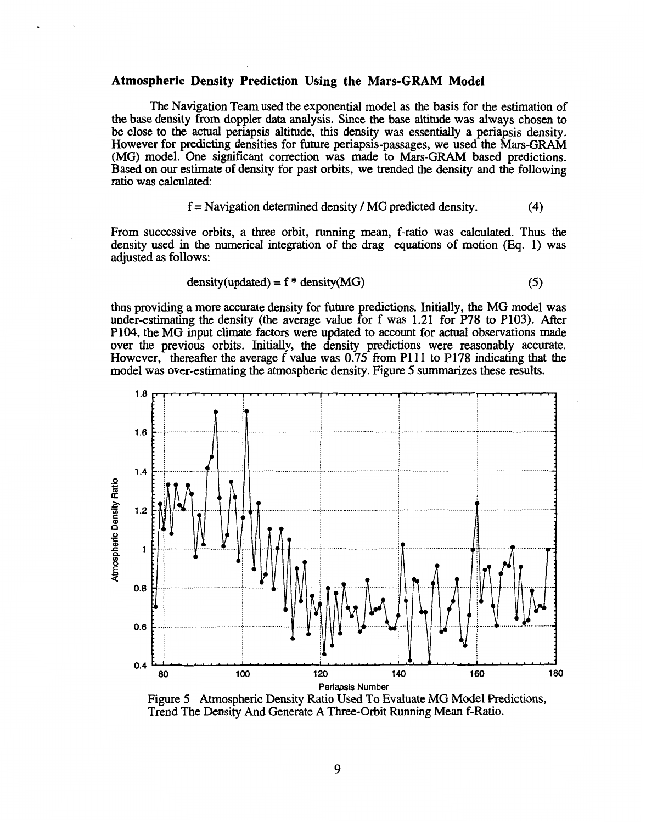### **Atmospheric Density Prediction Using the Mars-GRAM Model**

The Navigation Team used the exponential model as the basis for the estimation of the base density from doppler data analysis. Since the base altitude was always chosen to be close to the actual periapsis altitude, this density was essentially a periapsis density. However for predicting densities for future periapsis-passages, we used the Mars-GRAM (MG) model. One significant correction was **made** to Mars-GRAM based predictions. Based on our estimate of density for past orbits, we trended the density and the following ratio was calculated:

$$
f = \text{Navigation determined density} / \text{MG predicted density.} \tag{4}
$$

From successive orbits, a three orbit, running mean, f-ratio was calculated. Thus the density used in the numerical integration of the drag equations of motion **(Eq.** 1) was adjusted as follows:

$$
density(updated) = f * density(MG)
$$
 (5)

thus providing **a** more accurate density for future predictions. Initially, the MG model was under-estimating the density (the average value for **f** was 1.21 for **P78** to P103). After P104, the MG input climate factors were updated to account for actual observations made over the previous orbits. Initially, the density predictions were reason However, thereafter the average f value was 0.75 from P111 to P178 indicating that the model was over-estimating the atmospheric density. Figure *5* summarizes these results.



Figure 5 Atmospheric Density Ratio **Used** To Evaluate MG Model Predictions, Trend The Density And Generate A Three-Orbit Running Mean f-Ratio.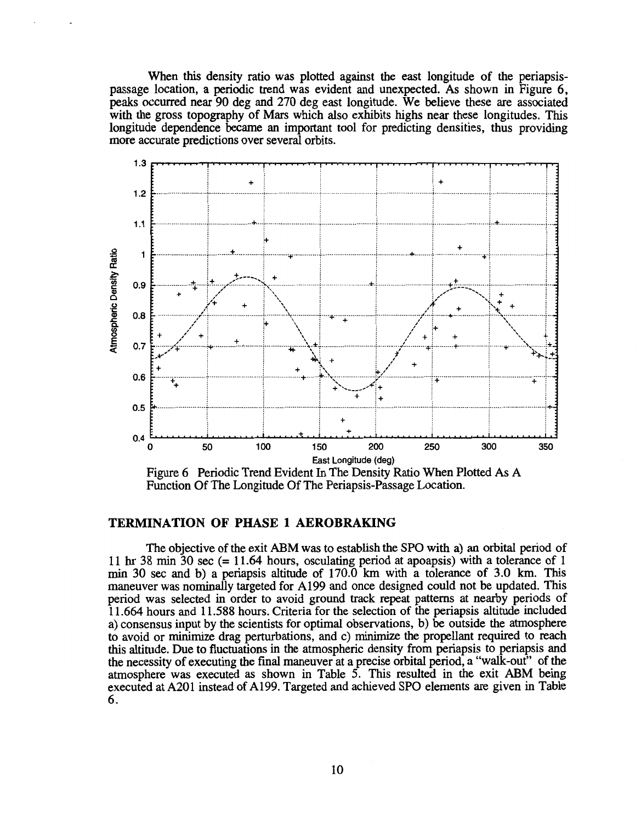When this density ratio was plotted against the east longitude of the periapsispassage location, a periodic trend was evident and unexpected. As shown in Figure *6,*  peaks occurred near 90 deg and 270 deg east longitude. We believe these are associated with the gross topography of Mars which also exhibits highs near these longitudes. This longitude dependence became an important tool for predicting densities, thus providing more accurate predictions over several orbits.



Figure 6 Periodic Trend Evident In The Density Ratio When Plotted As A Function Of The Longitude Of The Periapsis-Passage Location.

# **TERMINATION OF PHASE 1 AEROBRAKING**

The objective of the exit ABM was to establish the **SPO** with a) an orbital period of 11 hr 38 min **30** sec (= 1 1.64 hours, osculating period at apoapsis) with a tolerance of 1 min 30 sec and b) a periapsis altitude of 170.0 km with a tolerance of 3.0 km. This maneuver was nominally targeted for A199 and once designed could not be updated. This period was selected in order to avoid ground track repeat patterns at nearby periods of 11.664 hours and 11.588 hours. Criteria for the selection of the periapsis altitude included a) consensus input by the scientists for optimal observations, b) be outside the atmosphere to avoid or minimize drag perturbations, and c) minimize the propellant required to reach this altitude. Due to fluctuations in the atmospheric density from periapsis to periapsis and the necessity of executing the final maneuver at a precise orbital period, a "walk-out" of the atmosphere was executed as shown in T[able 5.](#page-10-0) This resulted in the exit ABM being executed at A20 1 instead of A199. Targeted and achieved **SPO** elements are given in Table 6.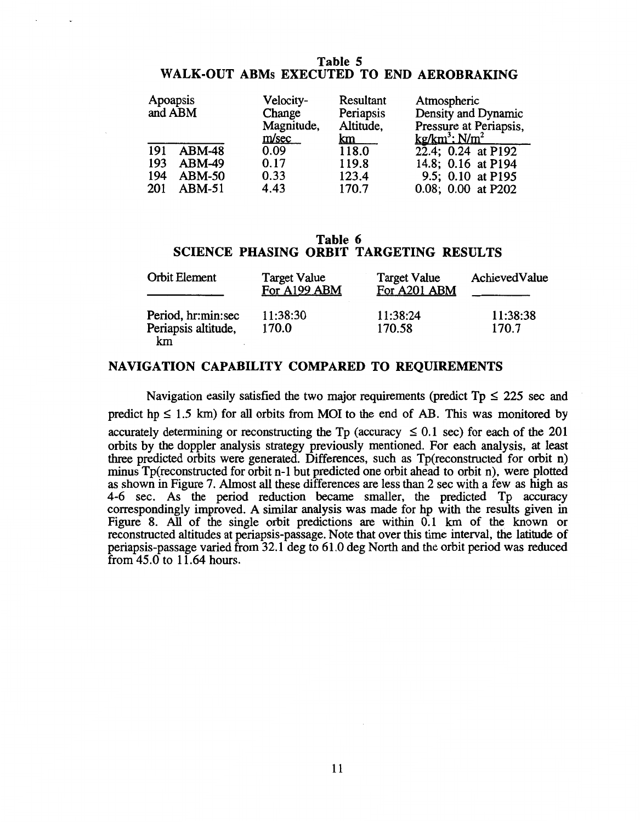# **Table 5 WALK-OUT ABMs EXECUTED TO END AEROBRAKING**

<span id="page-10-0"></span>

|     | Apoapsis<br>and ABM | Velocity-<br>Change<br>Magnitude,<br>m/sec | Resultant<br>Periapsis<br>Altitude,<br>km | Atmospheric<br>Density and Dynamic<br>Pressure at Periapsis,<br>$kg/km^3$ ; $N/m^2$ |
|-----|---------------------|--------------------------------------------|-------------------------------------------|-------------------------------------------------------------------------------------|
| 191 | <b>ABM-48</b>       | 0.09                                       | 118.0                                     | 22.4; 0.24 at P192                                                                  |
| 193 | $ABM-49$            | 0.17                                       | 119.8                                     | 14.8; 0.16 at P194                                                                  |
| 194 | $ABM-50$            | 0.33                                       | 123.4                                     | 9.5; 0.10 at P195                                                                   |
| 201 | $ABM-51$            | 4.43                                       | 170.7                                     | 0.08; 0.00 at P202                                                                  |

# **Table 6 SCIENCE PHASING ORBIT TARGETING RESULTS**

| <b>Orbit Element</b>                            | <b>Target Value</b><br>For A199 ABM | <b>Target Value</b><br>For A201 ABM | AchievedValue     |
|-------------------------------------------------|-------------------------------------|-------------------------------------|-------------------|
| Period, hr:min:sec<br>Periapsis altitude,<br>km | 11:38:30<br>170.0                   | 11:38:24<br>170.58                  | 11:38:38<br>170.7 |

# **NAVIGATION CAPABILITY COMPARED TO REQUIREMENTS**

Navigation easily satisfied the two major requirements (predict  $Tp \le 225$  sec and predict  $hp \le 1.5$  km) for all orbits from MOI to the end of AB. This was monitored by accurately determining or reconstructing the Tp (accuracy  $\leq 0.1$  sec) for each of the 201 orbits by the doppler analysis strategy previously mentioned. For each analysis, at least three predicted orbits were generated. Differences, such as Tp(reconstructed for orbit n) minus Tp(reconstructed for orbit n-1 but predicted one orbit ahead to orbit n), were plotted as shown in Figure 7. Almost all these differences are less than 2 sec with a few as high as 4-6 sec. As the period reduction became smaller, the predicted Tp accuracy correspondingly improved. A similar analysis was made for hp with the results given in [Figure](#page-11-0) **8.** All **of** the single orbit predictions are within 0.1 km of the known or reconstructed altitudes at periapsis-passage. Note that over this time interval, the latitude of periapsis-passage varied from 32.1 deg to 61.0 deg North and the orbit period **was** reduced from  $45.0$  to  $11.64$  hours.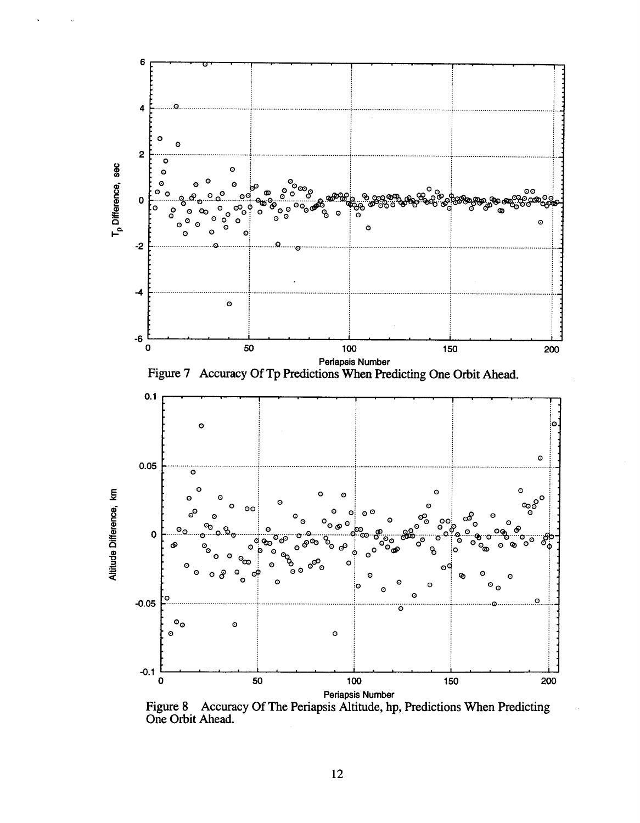<span id="page-11-0"></span>

**Figure 8 Accuracy** Of **The Periapsis Altitude, hp, Predictions When Predicting One Orbit Ahead.**